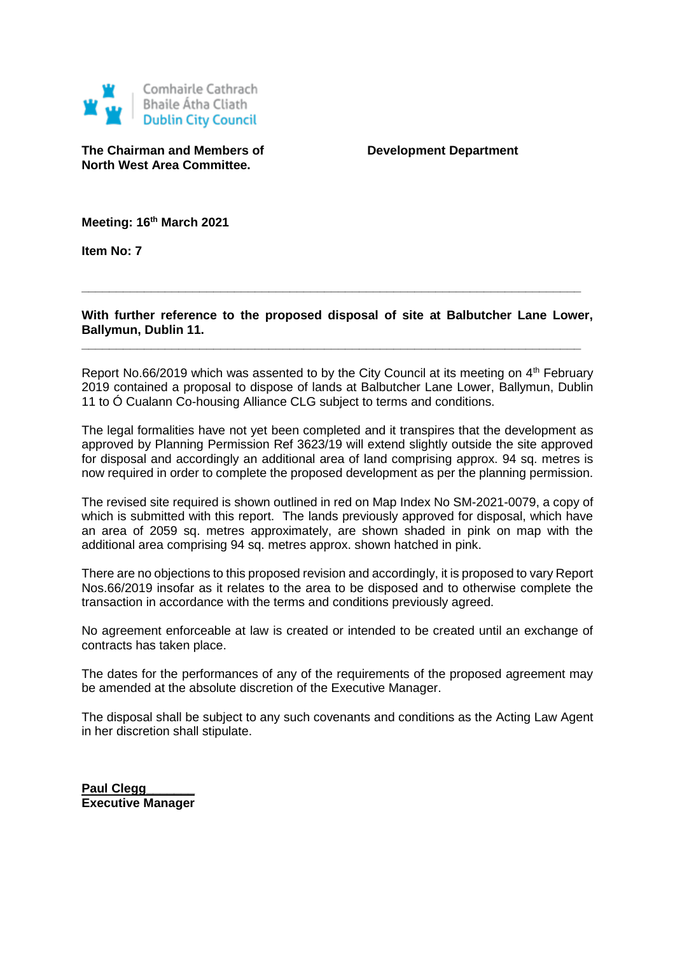

**The Chairman and Members of Development Department North West Area Committee.**

**Meeting: 16th March 2021**

**Item No: 7**

**With further reference to the proposed disposal of site at Balbutcher Lane Lower, Ballymun, Dublin 11.**

**\_\_\_\_\_\_\_\_\_\_\_\_\_\_\_\_\_\_\_\_\_\_\_\_\_\_\_\_\_\_\_\_\_\_\_\_\_\_\_\_\_\_\_\_\_\_\_\_\_\_\_\_\_\_\_\_\_\_\_\_\_\_\_\_\_\_\_\_\_\_\_\_**

**\_\_\_\_\_\_\_\_\_\_\_\_\_\_\_\_\_\_\_\_\_\_\_\_\_\_\_\_\_\_\_\_\_\_\_\_\_\_\_\_\_\_\_\_\_\_\_\_\_\_\_\_\_\_\_\_\_\_\_\_\_\_\_\_\_\_\_\_\_\_\_\_**

Report No.66/2019 which was assented to by the City Council at its meeting on  $4<sup>th</sup>$  February 2019 contained a proposal to dispose of lands at Balbutcher Lane Lower, Ballymun, Dublin 11 to Ó Cualann Co-housing Alliance CLG subject to terms and conditions.

The legal formalities have not yet been completed and it transpires that the development as approved by Planning Permission Ref 3623/19 will extend slightly outside the site approved for disposal and accordingly an additional area of land comprising approx. 94 sq. metres is now required in order to complete the proposed development as per the planning permission.

The revised site required is shown outlined in red on Map Index No SM-2021-0079, a copy of which is submitted with this report. The lands previously approved for disposal, which have an area of 2059 sq. metres approximately, are shown shaded in pink on map with the additional area comprising 94 sq. metres approx. shown hatched in pink.

There are no objections to this proposed revision and accordingly, it is proposed to vary Report Nos.66/2019 insofar as it relates to the area to be disposed and to otherwise complete the transaction in accordance with the terms and conditions previously agreed.

No agreement enforceable at law is created or intended to be created until an exchange of contracts has taken place.

The dates for the performances of any of the requirements of the proposed agreement may be amended at the absolute discretion of the Executive Manager.

The disposal shall be subject to any such covenants and conditions as the Acting Law Agent in her discretion shall stipulate.

**Paul Clegg Executive Manager**